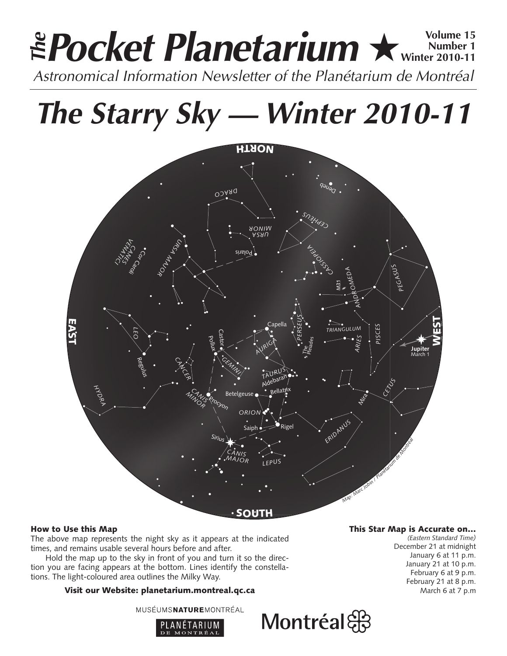# **Pocket Planetarium ★** Wolume 15 **Number 1 Winter 2010-11 EPocket Planetarium**  $\star$  Number 15<br>Astronomical Information Newsletter of the Planétarium de Montréal

**The Starry Sky — Winter 2010-11**



# How to Use this Map

The above map represents the night sky as it appears at the indicated times, and remains usable several hours before and after.

Hold the map up to the sky in front of you and turn it so the direction you are facing appears at the bottom. Lines identify the constellations. The light-coloured area outlines the Milky Way.

# Visit our Website: planetarium.montreal.qc.ca

MUSÉUMSNATUREMONTRÉAL



## This Star Map is Accurate on…

*(Eastern Standard Time)* December 21 at midnight January 6 at 11 p.m. January 21 at 10 p.m. February 6 at 9 p.m. February 21 at 8 p.m. March 6 at 7 p.m